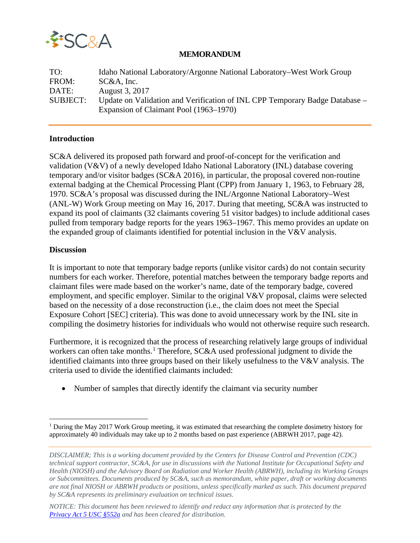

## **MEMORANDUM**

| TO:             | Idaho National Laboratory/Argonne National Laboratory–West Work Group       |
|-----------------|-----------------------------------------------------------------------------|
| FROM:           | $SC&A$ , Inc.                                                               |
| DATE:           | August 3, 2017                                                              |
| <b>SUBJECT:</b> | Update on Validation and Verification of INL CPP Temporary Badge Database – |
|                 | Expansion of Claimant Pool (1963–1970)                                      |

## **Introduction**

SC&A delivered its proposed path forward and proof-of-concept for the verification and validation (V&V) of a newly developed Idaho National Laboratory (INL) database covering temporary and/or visitor badges (SC&A 2016), in particular, the proposal covered non-routine external badging at the Chemical Processing Plant (CPP) from January 1, 1963, to February 28, 1970. SC&A's proposal was discussed during the INL/Argonne National Laboratory–West (ANL-W) Work Group meeting on May 16, 2017. During that meeting, SC&A was instructed to expand its pool of claimants (32 claimants covering 51 visitor badges) to include additional cases pulled from temporary badge reports for the years 1963–1967. This memo provides an update on the expanded group of claimants identified for potential inclusion in the V&V analysis.

## **Discussion**

 $\overline{a}$ 

It is important to note that temporary badge reports (unlike visitor cards) do not contain security numbers for each worker. Therefore, potential matches between the temporary badge reports and claimant files were made based on the worker's name, date of the temporary badge, covered employment, and specific employer. Similar to the original V&V proposal, claims were selected based on the necessity of a dose reconstruction (i.e., the claim does not meet the Special Exposure Cohort [SEC] criteria). This was done to avoid unnecessary work by the INL site in compiling the dosimetry histories for individuals who would not otherwise require such research.

Furthermore, it is recognized that the process of researching relatively large groups of individual workers can often take months.<sup>[1](#page-0-0)</sup> Therefore, SC&A used professional judgment to divide the identified claimants into three groups based on their likely usefulness to the V&V analysis. The criteria used to divide the identified claimants included:

• Number of samples that directly identify the claimant via security number

<span id="page-0-0"></span><sup>&</sup>lt;sup>1</sup> During the May 2017 Work Group meeting, it was estimated that researching the complete dosimetry history for approximately 40 individuals may take up to 2 months based on past experience (ABRWH 2017, page 42).

*DISCLAIMER; This is a working document provided by the Centers for Disease Control and Prevention (CDC) technical support contractor, SC&A, for use in discussions with the National Institute for Occupational Safety and Health (NIOSH) and the Advisory Board on Radiation and Worker Health (ABRWH), including its Working Groups or Subcommittees. Documents produced by SC&A, such as memorandum, white paper, draft or working documents are not final NIOSH or ABRWH products or positions, unless specifically marked as such. This document prepared by SC&A represents its preliminary evaluation on technical issues.*

*NOTICE: This document has been reviewed to identify and redact any information that is protected by the Privacy [Act 5 USC §552a](http://www.justice.gov/opcl/privacy-act-1974) and has been cleared for distribution.*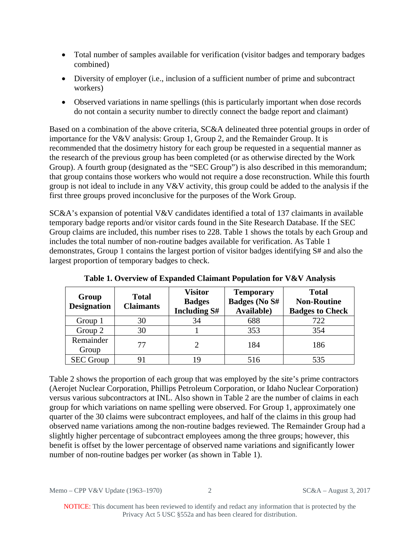- Total number of samples available for verification (visitor badges and temporary badges combined)
- Diversity of employer (i.e., inclusion of a sufficient number of prime and subcontract workers)
- Observed variations in name spellings (this is particularly important when dose records do not contain a security number to directly connect the badge report and claimant)

Based on a combination of the above criteria, SC&A delineated three potential groups in order of importance for the V&V analysis: Group 1, Group 2, and the Remainder Group. It is recommended that the dosimetry history for each group be requested in a sequential manner as the research of the previous group has been completed (or as otherwise directed by the Work Group). A fourth group (designated as the "SEC Group") is also described in this memorandum; that group contains those workers who would not require a dose reconstruction. While this fourth group is not ideal to include in any V&V activity, this group could be added to the analysis if the first three groups proved inconclusive for the purposes of the Work Group.

SC&A's expansion of potential V&V candidates identified a total of 137 claimants in available temporary badge reports and/or visitor cards found in the Site Research Database. If the SEC Group claims are included, this number rises to 228. Table 1 shows the totals by each Group and includes the total number of non-routine badges available for verification. As Table 1 demonstrates, Group 1 contains the largest portion of visitor badges identifying S# and also the largest proportion of temporary badges to check.

| Group<br><b>Designation</b> | <b>Total</b><br><b>Claimants</b> | <b>Visitor</b><br><b>Badges</b><br><b>Including S#</b> | <b>Temporary</b><br><b>Badges (No S#</b><br><b>Available</b> ) | <b>Total</b><br><b>Non-Routine</b><br><b>Badges to Check</b> |
|-----------------------------|----------------------------------|--------------------------------------------------------|----------------------------------------------------------------|--------------------------------------------------------------|
| Group 1                     | 30                               | 34                                                     | 688                                                            | 722                                                          |
| Group 2                     | 30                               |                                                        | 353                                                            | 354                                                          |
| Remainder<br>Group          | 77                               |                                                        | 184                                                            | 186                                                          |
| <b>SEC Group</b>            |                                  | 19                                                     | 516                                                            | 535                                                          |

**Table 1. Overview of Expanded Claimant Population for V&V Analysis**

Table 2 shows the proportion of each group that was employed by the site's prime contractors (Aerojet Nuclear Corporation, Phillips Petroleum Corporation, or Idaho Nuclear Corporation) versus various subcontractors at INL. Also shown in Table 2 are the number of claims in each group for which variations on name spelling were observed. For Group 1, approximately one quarter of the 30 claims were subcontract employees, and half of the claims in this group had observed name variations among the non-routine badges reviewed. The Remainder Group had a slightly higher percentage of subcontract employees among the three groups; however, this benefit is offset by the lower percentage of observed name variations and significantly lower number of non-routine badges per worker (as shown in Table 1).